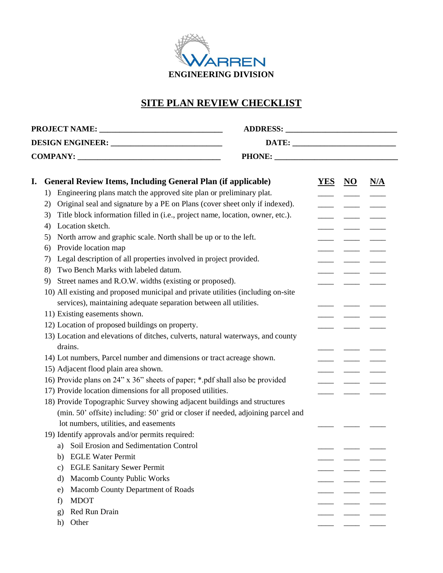

## **SITE PLAN REVIEW CHECKLIST**

| <b>DESIGN ENGINEER:</b> _______________________________ |                                                                                      |  |            |                           |     |
|---------------------------------------------------------|--------------------------------------------------------------------------------------|--|------------|---------------------------|-----|
|                                                         |                                                                                      |  |            |                           |     |
|                                                         |                                                                                      |  |            |                           |     |
| I.                                                      | <b>General Review Items, Including General Plan (if applicable)</b>                  |  | <b>YES</b> | $\underline{\mathbf{NO}}$ | N/A |
|                                                         | Engineering plans match the approved site plan or preliminary plat.<br>1)            |  |            |                           |     |
|                                                         | Original seal and signature by a PE on Plans (cover sheet only if indexed).<br>2)    |  |            |                           |     |
|                                                         | Title block information filled in (i.e., project name, location, owner, etc.).<br>3) |  |            |                           |     |
|                                                         | Location sketch.<br>4)                                                               |  |            |                           |     |
|                                                         | North arrow and graphic scale. North shall be up or to the left.<br>5)               |  |            |                           |     |
|                                                         | Provide location map<br>6)                                                           |  |            |                           |     |
|                                                         | Legal description of all properties involved in project provided.<br>7)              |  |            |                           |     |
|                                                         | Two Bench Marks with labeled datum.<br>8)                                            |  |            |                           |     |
|                                                         | Street names and R.O.W. widths (existing or proposed).<br>9)                         |  |            |                           |     |
|                                                         | 10) All existing and proposed municipal and private utilities (including on-site     |  |            |                           |     |
|                                                         | services), maintaining adequate separation between all utilities.                    |  |            |                           |     |
|                                                         | 11) Existing easements shown.                                                        |  |            |                           |     |
|                                                         | 12) Location of proposed buildings on property.                                      |  |            |                           |     |
|                                                         | 13) Location and elevations of ditches, culverts, natural waterways, and county      |  |            |                           |     |
|                                                         | drains.                                                                              |  |            |                           |     |
|                                                         | 14) Lot numbers, Parcel number and dimensions or tract acreage shown.                |  |            |                           |     |
|                                                         | 15) Adjacent flood plain area shown.                                                 |  |            |                           |     |
|                                                         | 16) Provide plans on 24" x 36" sheets of paper; *.pdf shall also be provided         |  |            |                           |     |
|                                                         | 17) Provide location dimensions for all proposed utilities.                          |  |            |                           |     |
|                                                         | 18) Provide Topographic Survey showing adjacent buildings and structures             |  |            |                           |     |
|                                                         | (min. 50' offsite) including: 50' grid or closer if needed, adjoining parcel and     |  |            |                           |     |
|                                                         | lot numbers, utilities, and easements                                                |  |            |                           |     |
|                                                         | 19) Identify approvals and/or permits required:                                      |  |            |                           |     |
|                                                         | a) Soil Erosion and Sedimentation Control                                            |  |            |                           |     |
|                                                         | <b>EGLE Water Permit</b><br>b)                                                       |  |            |                           |     |
|                                                         | <b>EGLE Sanitary Sewer Permit</b><br>$\mathbf{c})$                                   |  |            |                           |     |
|                                                         | <b>Macomb County Public Works</b><br>d)                                              |  |            |                           |     |
|                                                         | Macomb County Department of Roads<br>e)                                              |  |            |                           |     |
|                                                         | <b>MDOT</b><br>f)                                                                    |  |            |                           |     |
|                                                         | Red Run Drain<br>g)                                                                  |  |            |                           |     |
|                                                         | Other<br>h)                                                                          |  |            |                           |     |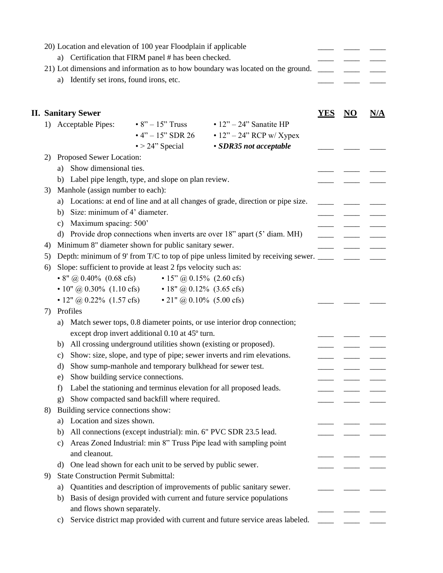|    | 20) Location and elevation of 100 year Floodplain if applicable<br>a) Certification that FIRM panel # has been checked.<br>21) Lot dimensions and information as to how boundary was located on the ground. |            |    |     |
|----|-------------------------------------------------------------------------------------------------------------------------------------------------------------------------------------------------------------|------------|----|-----|
|    | Identify set irons, found irons, etc.<br>a)                                                                                                                                                                 |            |    |     |
|    | <b>II. Sanitary Sewer</b>                                                                                                                                                                                   | <b>YES</b> | NO | N/A |
|    | 1) Acceptable Pipes:<br>• $8" - 15"$ Truss • $12" - 24"$ Sanatite HP                                                                                                                                        |            |    |     |
|    | • 4" – 15" SDR 26 • 12" – 24" RCP w/ Xypex<br>$\bullet$ > 24" Special<br>· SDR35 not acceptable                                                                                                             |            |    |     |
| 2) | Proposed Sewer Location:                                                                                                                                                                                    |            |    |     |
|    | Show dimensional ties.<br>a)                                                                                                                                                                                |            |    |     |
|    | b) Label pipe length, type, and slope on plan review.                                                                                                                                                       |            |    |     |
| 3) | Manhole (assign number to each):                                                                                                                                                                            |            |    |     |
|    | Locations: at end of line and at all changes of grade, direction or pipe size.<br>a)                                                                                                                        |            |    |     |
|    | Size: minimum of 4' diameter.<br>b)                                                                                                                                                                         |            |    |     |
|    | Maximum spacing: 500'<br>c)                                                                                                                                                                                 |            |    |     |
|    | d) Provide drop connections when inverts are over 18" apart (5' diam. MH)                                                                                                                                   |            |    |     |
| 4) | Minimum 8" diameter shown for public sanitary sewer.                                                                                                                                                        |            |    |     |
| 5) | Depth: minimum of 9' from T/C to top of pipe unless limited by receiving sewer. _______                                                                                                                     |            |    |     |
| 6) | Slope: sufficient to provide at least 2 fps velocity such as:                                                                                                                                               |            |    |     |
|    | • 8" @ 0.40% (0.68 cfs) • 15" @ 0.15% (2.60 cfs)                                                                                                                                                            |            |    |     |
|    | • 10" @ 0.30% (1.10 cfs) • 18" @ 0.12% (3.65 cfs)                                                                                                                                                           |            |    |     |
|    | • 12" @ 0.22% (1.57 cfs) • 21" @ 0.10% (5.00 cfs)                                                                                                                                                           |            |    |     |
| 7) | Profiles                                                                                                                                                                                                    |            |    |     |
|    | Match sewer tops, 0.8 diameter points, or use interior drop connection;<br>a)                                                                                                                               |            |    |     |
|    | except drop invert additional 0.10 at 45° turn.                                                                                                                                                             |            |    |     |
|    | All crossing underground utilities shown (existing or proposed).<br>b)<br>Show: size, slope, and type of pipe; sewer inverts and rim elevations.                                                            |            |    |     |
|    | c)<br>Show sump-manhole and temporary bulkhead for sewer test.<br>d)                                                                                                                                        |            |    |     |
|    | Show building service connections.<br>e)                                                                                                                                                                    |            |    |     |
|    | Label the stationing and terminus elevation for all proposed leads.<br>f                                                                                                                                    |            |    |     |
|    | Show compacted sand backfill where required.<br>$\mathbf{g}$                                                                                                                                                |            |    |     |
| 8) | Building service connections show:                                                                                                                                                                          |            |    |     |
|    | Location and sizes shown.<br>a)                                                                                                                                                                             |            |    |     |
|    | All connections (except industrial): min. 6" PVC SDR 23.5 lead.<br>b)                                                                                                                                       |            |    |     |
|    | Areas Zoned Industrial: min 8" Truss Pipe lead with sampling point<br>c)                                                                                                                                    |            |    |     |
|    | and cleanout.                                                                                                                                                                                               |            |    |     |
|    | One lead shown for each unit to be served by public sewer.<br>d)                                                                                                                                            |            |    |     |
| 9) | <b>State Construction Permit Submittal:</b>                                                                                                                                                                 |            |    |     |
|    | Quantities and description of improvements of public sanitary sewer.<br>a)                                                                                                                                  |            |    |     |
|    | Basis of design provided with current and future service populations<br>b)                                                                                                                                  |            |    |     |
|    | and flows shown separately.                                                                                                                                                                                 |            |    |     |
|    | Service district map provided with current and future service areas labeled.<br>C)                                                                                                                          |            |    |     |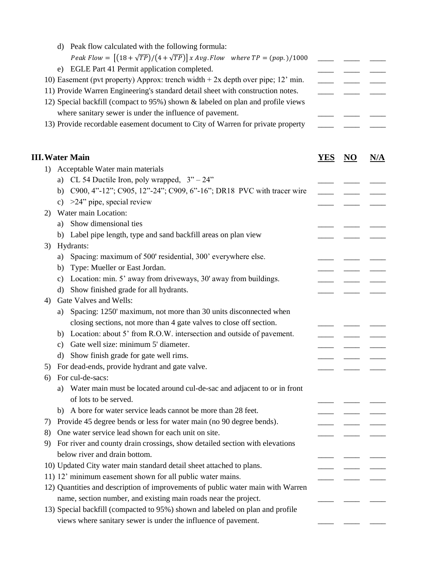|    | Peak flow calculated with the following formula:<br>d)                                |            |                           |     |
|----|---------------------------------------------------------------------------------------|------------|---------------------------|-----|
|    | Peak Flow = $[(18 + \sqrt{TP})/(4 + \sqrt{TP})]$ x Avg. Flow where $TP = (pop.)/1000$ |            |                           |     |
|    | EGLE Part 41 Permit application completed.<br>e)                                      |            |                           |     |
|    | 10) Easement (pvt property) Approx: trench width $+ 2x$ depth over pipe; 12' min.     |            |                           |     |
|    | 11) Provide Warren Engineering's standard detail sheet with construction notes.       |            |                           |     |
|    | 12) Special backfill (compact to 95%) shown & labeled on plan and profile views       |            |                           |     |
|    | where sanitary sewer is under the influence of pavement.                              |            |                           |     |
|    | 13) Provide recordable easement document to City of Warren for private property       |            |                           |     |
|    |                                                                                       |            |                           |     |
|    | <b>III. Water Main</b>                                                                | <u>YES</u> | $\underline{\mathrm{NO}}$ | N/A |
| 1) | Acceptable Water main materials                                                       |            |                           |     |
|    | a) CL 54 Ductile Iron, poly wrapped, $3" - 24"$                                       |            |                           |     |
|    | b) C900, 4"-12"; C905, 12"-24"; C909, 6"-16"; DR18 PVC with tracer wire               |            |                           |     |
|    | c) $>24$ " pipe, special review                                                       |            |                           |     |
| 2) | Water main Location:                                                                  |            |                           |     |
|    | Show dimensional ties<br>a)                                                           |            |                           |     |
|    | b) Label pipe length, type and sand backfill areas on plan view                       |            |                           |     |
| 3) | Hydrants:                                                                             |            |                           |     |
|    | Spacing: maximum of 500' residential, 300' everywhere else.<br>a)                     |            |                           |     |
|    | Type: Mueller or East Jordan.<br>b)                                                   |            |                           |     |
|    | Location: min. 5' away from driveways, 30' away from buildings.<br>c)                 |            |                           |     |
|    | Show finished grade for all hydrants.<br>d)                                           |            |                           |     |
| 4) | Gate Valves and Wells:                                                                |            |                           |     |
|    | Spacing: 1250' maximum, not more than 30 units disconnected when<br>a)                |            |                           |     |
|    | closing sections, not more than 4 gate valves to close off section.                   |            |                           |     |
|    | Location: about 5' from R.O.W. intersection and outside of pavement.<br>b)            |            |                           |     |
|    | Gate well size: minimum 5' diameter.<br>c)                                            |            |                           |     |
|    | Show finish grade for gate well rims.<br>d)                                           |            |                           |     |
|    | For dead-ends, provide hydrant and gate valve.                                        |            |                           |     |
| 6) | For cul-de-sacs:                                                                      |            |                           |     |
|    | Water main must be located around cul-de-sac and adjacent to or in front<br>a)        |            |                           |     |
|    | of lots to be served.                                                                 |            |                           |     |
|    | b) A bore for water service leads cannot be more than 28 feet.                        |            |                           |     |
| 7) | Provide 45 degree bends or less for water main (no 90 degree bends).                  |            |                           |     |
| 8) | One water service lead shown for each unit on site.                                   |            |                           |     |
| 9) | For river and county drain crossings, show detailed section with elevations           |            |                           |     |
|    | below river and drain bottom.                                                         |            |                           |     |
|    | 10) Updated City water main standard detail sheet attached to plans.                  |            |                           |     |
|    | 11) 12' minimum easement shown for all public water mains.                            |            |                           |     |
|    | 12) Quantities and description of improvements of public water main with Warren       |            |                           |     |
|    | name, section number, and existing main roads near the project.                       |            |                           |     |
|    | 13) Special backfill (compacted to 95%) shown and labeled on plan and profile         |            |                           |     |
|    | views where sanitary sewer is under the influence of pavement.                        |            |                           |     |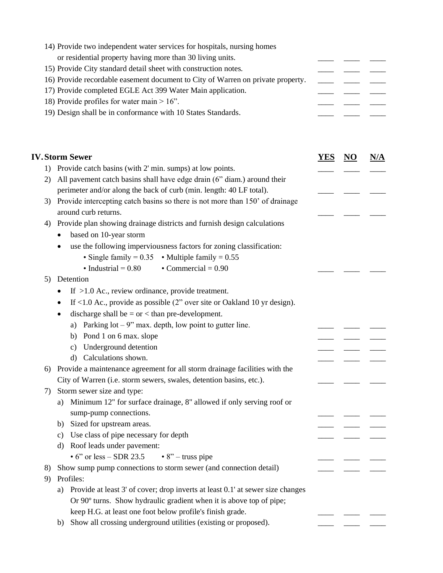| 14) Provide two independent water services for hospitals, nursing homes         |  |  |  |  |  |  |
|---------------------------------------------------------------------------------|--|--|--|--|--|--|
| or residential property having more than 30 living units.                       |  |  |  |  |  |  |
| 15) Provide City standard detail sheet with construction notes.                 |  |  |  |  |  |  |
| 16) Provide recordable easement document to City of Warren on private property. |  |  |  |  |  |  |
| 17) Provide completed EGLE Act 399 Water Main application.                      |  |  |  |  |  |  |
| 18) Provide profiles for water main $> 16$ ".                                   |  |  |  |  |  |  |
| 19) Design shall be in conformance with 10 States Standards.                    |  |  |  |  |  |  |

|    | <b>IV.Storm Sewer</b>                                                                    | YES | NO. | N/A |
|----|------------------------------------------------------------------------------------------|-----|-----|-----|
|    | 1) Provide catch basins (with 2' min. sumps) at low points.                              |     |     |     |
| 2) | All pavement catch basins shall have edge drain (6" diam.) around their                  |     |     |     |
|    | perimeter and/or along the back of curb (min. length: 40 LF total).                      |     |     |     |
| 3) | Provide intercepting catch basins so there is not more than 150' of drainage             |     |     |     |
|    | around curb returns.                                                                     |     |     |     |
| 4) | Provide plan showing drainage districts and furnish design calculations                  |     |     |     |
|    | based on 10-year storm                                                                   |     |     |     |
|    | use the following imperviousness factors for zoning classification:                      |     |     |     |
|    | • Single family = $0.35$ • Multiple family = $0.55$                                      |     |     |     |
|    | • Industrial = $0.80$<br>$\bullet$ Commercial = 0.90                                     |     |     |     |
| 5) | Detention                                                                                |     |     |     |
|    | If $>1.0$ Ac., review ordinance, provide treatment.                                      |     |     |     |
|    | If $<$ 1.0 Ac., provide as possible (2" over site or Oakland 10 yr design).<br>$\bullet$ |     |     |     |
|    | discharge shall be $=$ or $<$ than pre-development.<br>٠                                 |     |     |     |
|    | Parking $\text{lot} - 9$ " max. depth, low point to gutter line.<br>a)                   |     |     |     |
|    | Pond 1 on 6 max. slope<br>b)                                                             |     |     |     |
|    | Underground detention<br>$\mathbf{c})$                                                   |     |     |     |
|    | Calculations shown.<br>$\mathbf{d}$                                                      |     |     |     |
| 6) | Provide a maintenance agreement for all storm drainage facilities with the               |     |     |     |
|    | City of Warren (i.e. storm sewers, swales, detention basins, etc.).                      |     |     |     |
| 7) | Storm sewer size and type:                                                               |     |     |     |
|    | Minimum 12" for surface drainage, 8" allowed if only serving roof or<br>a)               |     |     |     |
|    | sump-pump connections.                                                                   |     |     |     |
|    | Sized for upstream areas.<br>b)                                                          |     |     |     |
|    | Use class of pipe necessary for depth<br>c)                                              |     |     |     |
|    | Roof leads under pavement:<br>d)                                                         |     |     |     |
|    | $\cdot$ 6" or less – SDR 23.5<br>$\cdot$ 8" – truss pipe                                 |     |     |     |
| 8) | Show sump pump connections to storm sewer (and connection detail)                        |     |     |     |
| 9) | Profiles:                                                                                |     |     |     |
|    | Provide at least 3' of cover; drop inverts at least 0.1' at sewer size changes<br>a)     |     |     |     |
|    | Or 90° turns. Show hydraulic gradient when it is above top of pipe;                      |     |     |     |
|    | keep H.G. at least one foot below profile's finish grade.                                |     |     |     |
|    | Show all crossing underground utilities (existing or proposed).<br>b)                    |     |     |     |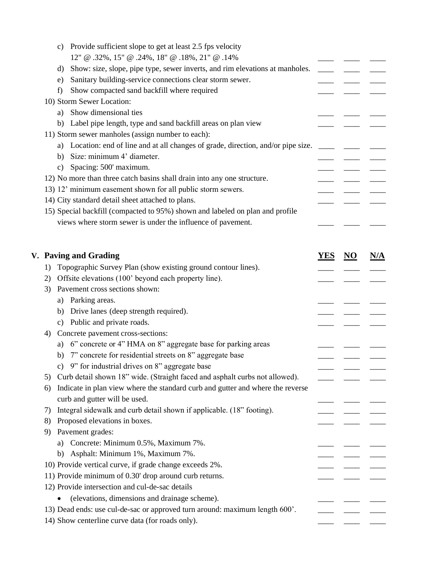|    | Provide sufficient slope to get at least 2.5 fps velocity<br>C)                    |            |                           |     |
|----|------------------------------------------------------------------------------------|------------|---------------------------|-----|
|    | 12" @ .32%, 15" @ .24%, 18" @ .18%, 21" @ .14%                                     |            |                           |     |
|    | Show: size, slope, pipe type, sewer inverts, and rim elevations at manholes.<br>d) |            |                           |     |
|    | Sanitary building-service connections clear storm sewer.<br>e)                     |            |                           |     |
|    | Show compacted sand backfill where required<br>f)                                  |            |                           |     |
|    | 10) Storm Sewer Location:                                                          |            |                           |     |
|    | Show dimensional ties<br>a)                                                        |            |                           |     |
|    | b) Label pipe length, type and sand backfill areas on plan view                    |            |                           |     |
|    | 11) Storm sewer manholes (assign number to each):                                  |            |                           |     |
|    | a) Location: end of line and at all changes of grade, direction, and/or pipe size. |            |                           |     |
|    | Size: minimum 4' diameter.<br>b)                                                   |            |                           |     |
|    | Spacing: 500' maximum.<br>c)                                                       |            |                           |     |
|    | 12) No more than three catch basins shall drain into any one structure.            |            |                           |     |
|    | 13) 12' minimum easement shown for all public storm sewers.                        |            |                           |     |
|    | 14) City standard detail sheet attached to plans.                                  |            |                           |     |
|    | 15) Special backfill (compacted to 95%) shown and labeled on plan and profile      |            |                           |     |
|    | views where storm sewer is under the influence of pavement.                        |            |                           |     |
|    |                                                                                    |            |                           |     |
|    |                                                                                    |            |                           |     |
|    | V. Paving and Grading                                                              | <b>YES</b> | $\underline{\mathbf{NO}}$ | N/A |
| 1) | Topographic Survey Plan (show existing ground contour lines).                      |            |                           |     |
| 2) | Offsite elevations (100' beyond each property line).                               |            |                           |     |
| 3) | Pavement cross sections shown:                                                     |            |                           |     |
|    | Parking areas.<br>a)                                                               |            |                           |     |
|    | Drive lanes (deep strength required).<br>b)                                        |            |                           |     |
|    | Public and private roads.<br>c)                                                    |            |                           |     |
| 4) | Concrete pavement cross-sections:                                                  |            |                           |     |
|    | 6" concrete or 4" HMA on 8" aggregate base for parking areas<br>a)                 |            |                           |     |
|    | 7" concrete for residential streets on 8" aggregate base<br>b)                     |            |                           |     |
|    | 9" for industrial drives on 8" aggregate base<br>c)                                |            |                           |     |
| 5) | Curb detail shown 18" wide. (Straight faced and asphalt curbs not allowed).        |            |                           |     |
| 6) | Indicate in plan view where the standard curb and gutter and where the reverse     |            |                           |     |
|    | curb and gutter will be used.                                                      |            |                           |     |
| 7) | Integral sidewalk and curb detail shown if applicable. (18" footing).              |            |                           |     |
| 8) | Proposed elevations in boxes.                                                      |            |                           |     |
| 9) | Pavement grades:                                                                   |            |                           |     |
|    | a) Concrete: Minimum 0.5%, Maximum 7%.                                             |            |                           |     |
|    | b) Asphalt: Minimum 1%, Maximum 7%.                                                |            |                           |     |
|    | 10) Provide vertical curve, if grade change exceeds 2%.                            |            |                           |     |
|    | 11) Provide minimum of 0.30' drop around curb returns.                             |            |                           |     |
|    | 12) Provide intersection and cul-de-sac details                                    |            |                           |     |
|    | (elevations, dimensions and drainage scheme).                                      |            |                           |     |
|    | 13) Dead ends: use cul-de-sac or approved turn around: maximum length 600'.        |            |                           |     |
|    | 14) Show centerline curve data (for roads only).                                   |            |                           |     |
|    |                                                                                    |            |                           |     |